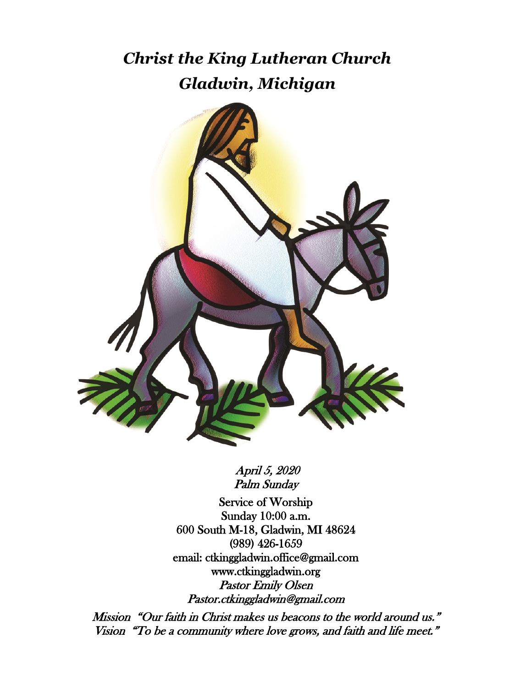# *Christ the King Lutheran Church Gladwin, Michigan*



 April 5, 2020 Palm Sunday

Service of Worship Sunday 10:00 a.m. 600 South M-18, Gladwin, MI 48624 (989) 426-1659 email: ctkinggladwin.office@gmail.com www.ctkinggladwin.org Pastor Emily Olsen Pastor.ctkinggladwin@gmail.com

 Mission "Our faith in Christ makes us beacons to the world around us." Vision "To be a community where love grows, and faith and life meet."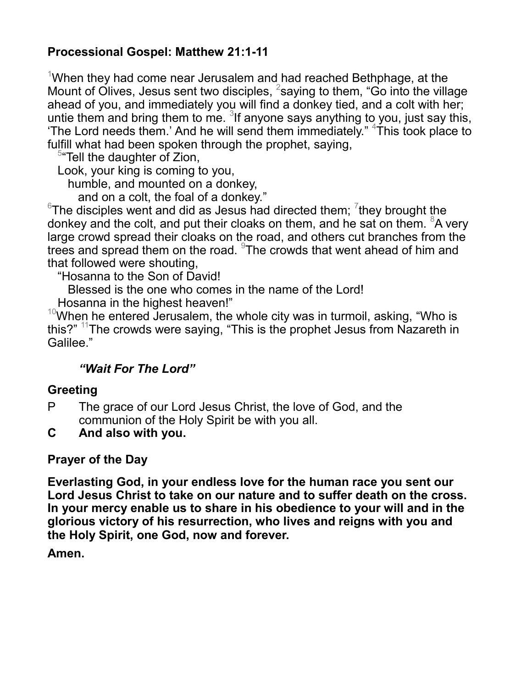# **Processional Gospel: Matthew 21:1-11**

<sup>1</sup>When they had come near Jerusalem and had reached Bethphage, at the Mount of Olives, Jesus sent two disciples, <sup>2</sup>saying to them, "Go into the village ahead of you, and immediately you will find a donkey tied, and a colt with her; untie them and bring them to me.  $31$  anyone says anything to you, just say this, 'The Lord needs them.' And he will send them immediately." <sup>4</sup>This took place to fulfill what had been spoken through the prophet, saying,

<sup>5</sup> Tell the daughter of Zion,

Look, your king is coming to you,

humble, and mounted on a donkey,

and on a colt, the foal of a donkey."

 $6$ The disciples went and did as Jesus had directed them;  $7$ they brought the donkey and the colt, and put their cloaks on them, and he sat on them.  $8A$  very large crowd spread their cloaks on the road, and others cut branches from the trees and spread them on the road.  $9$ The crowds that went ahead of him and that followed were shouting,

"Hosanna to the Son of David!

Blessed is the one who comes in the name of the Lord!

Hosanna in the highest heaven!"

 $10$ When he entered Jerusalem, the whole city was in turmoil, asking, "Who is this?" <sup>11</sup>The crowds were saying, "This is the prophet Jesus from Nazareth in Galilee."

# *"Wait For The Lord"*

#### **Greeting**

- P The grace of our Lord Jesus Christ, the love of God, and the communion of the Holy Spirit be with you all.
- **C And also with you.**

#### **Prayer of the Day**

**Everlasting God, in your endless love for the human race you sent our Lord Jesus Christ to take on our nature and to suffer death on the cross. In your mercy enable us to share in his obedience to your will and in the glorious victory of his resurrection, who lives and reigns with you and the Holy Spirit, one God, now and forever.**

**Amen.**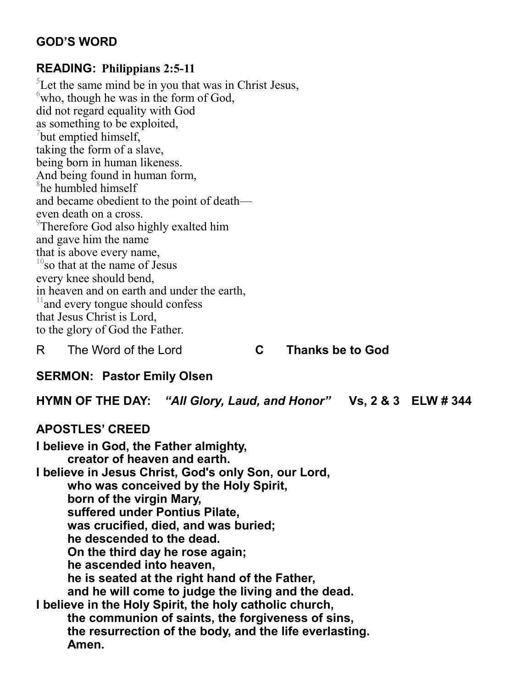# **GOD'S WORD**

#### **READING: Philippians 2:5-11**

<sup>5</sup>Let the same mind be in you that was in Christ Jesus,  $\omega$ <sup>6</sup>who, though he was in the form of God, did not regard equality with God as something to be exploited,  $7$ but emptied himself, taking the form of a slave, being born in human likeness. And being found in human form, 8 he humbled himself and became obedient to the point of death even death on a cross. <sup>9</sup>Therefore God also highly exalted him and gave him the name that is above every name,  $10$ so that at the name of Jesus every knee should bend, in heaven and on earth and under the earth, <sup>11</sup> and every tongue should confess that Jesus Christ is Lord, to the glory of God the Father.

#### R The Word of the Lord **C Thanks be to God**

# **SERMON: Pastor Emily Olsen**

**HYMN OF THE DAY:** *"All Glory, Laud, and Honor"* **Vs, 2 & 3 ELW # 344** 

#### **APOSTLES' CREED**

**I believe in God, the Father almighty, creator of heaven and earth. I believe in Jesus Christ, God's only Son, our Lord, who was conceived by the Holy Spirit, born of the virgin Mary, suffered under Pontius Pilate, was crucified, died, and was buried; he descended to the dead. On the third day he rose again; he ascended into heaven, he is seated at the right hand of the Father, and he will come to judge the living and the dead. I believe in the Holy Spirit, the holy catholic church, the communion of saints, the forgiveness of sins, the resurrection of the body, and the life everlasting. Amen.**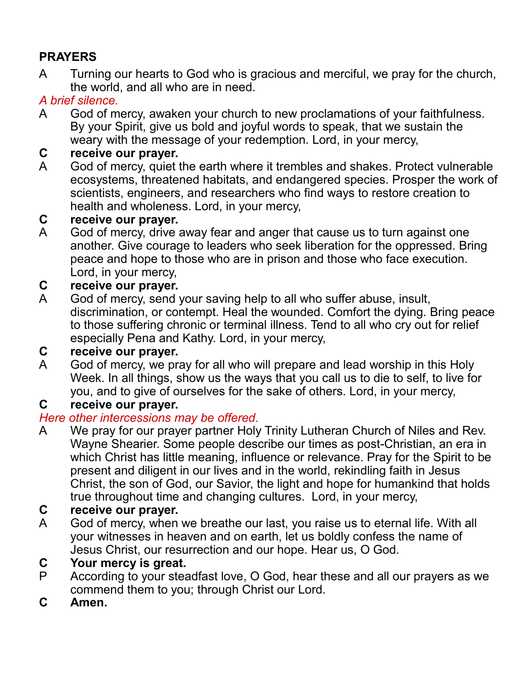# **PRAYERS**

A Turning our hearts to God who is gracious and merciful, we pray for the church, the world, and all who are in need.

# *A brief silence.*

A God of mercy, awaken your church to new proclamations of your faithfulness. By your Spirit, give us bold and joyful words to speak, that we sustain the weary with the message of your redemption. Lord, in your mercy,

# **C receive our prayer.**

A God of mercy, quiet the earth where it trembles and shakes. Protect vulnerable ecosystems, threatened habitats, and endangered species. Prosper the work of scientists, engineers, and researchers who find ways to restore creation to health and wholeness. Lord, in your mercy,

# **C receive our prayer.**

A God of mercy, drive away fear and anger that cause us to turn against one another. Give courage to leaders who seek liberation for the oppressed. Bring peace and hope to those who are in prison and those who face execution. Lord, in your mercy,

# **C receive our prayer.**

A God of mercy, send your saving help to all who suffer abuse, insult, discrimination, or contempt. Heal the wounded. Comfort the dying. Bring peace to those suffering chronic or terminal illness. Tend to all who cry out for relief especially Pena and Kathy. Lord, in your mercy,

# **C receive our prayer.**

A God of mercy, we pray for all who will prepare and lead worship in this Holy Week. In all things, show us the ways that you call us to die to self, to live for you, and to give of ourselves for the sake of others. Lord, in your mercy,

# **C receive our prayer.**

# *Here other intercessions may be offered.*

A We pray for our prayer partner Holy Trinity Lutheran Church of Niles and Rev. Wayne Shearier. Some people describe our times as post-Christian, an era in which Christ has little meaning, influence or relevance. Pray for the Spirit to be present and diligent in our lives and in the world, rekindling faith in Jesus Christ, the son of God, our Savior, the light and hope for humankind that holds true throughout time and changing cultures. Lord, in your mercy,

# **C receive our prayer.**

A God of mercy, when we breathe our last, you raise us to eternal life. With all your witnesses in heaven and on earth, let us boldly confess the name of Jesus Christ, our resurrection and our hope. Hear us, O God.

# **C Your mercy is great.**

- P According to your steadfast love, O God, hear these and all our prayers as we commend them to you; through Christ our Lord.
- **C Amen.**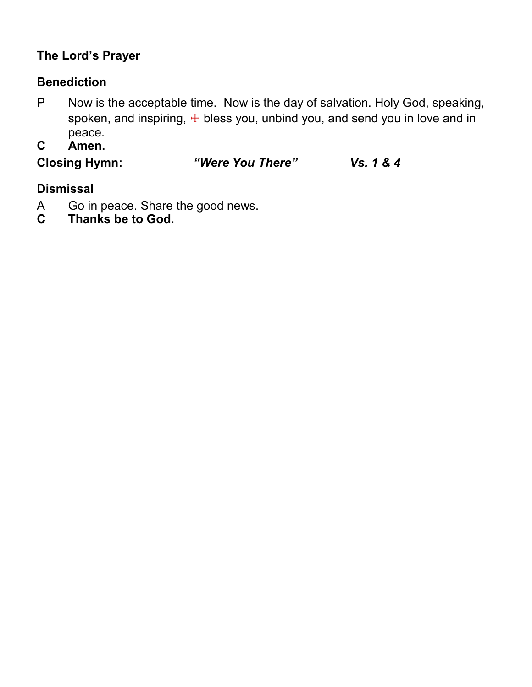# **The Lord's Prayer**

# **Benediction**

- P Now is the acceptable time. Now is the day of salvation. Holy God, speaking, spoken, and inspiring,  $\pm$  bless you, unbind you, and send you in love and in peace.
- **C Amen.**

**Closing Hymn:** *"Were You There" Vs. 1 & 4*

# **Dismissal**

- A Go in peace. Share the good news.<br>C Thanks be to God.
- **C Thanks be to God.**